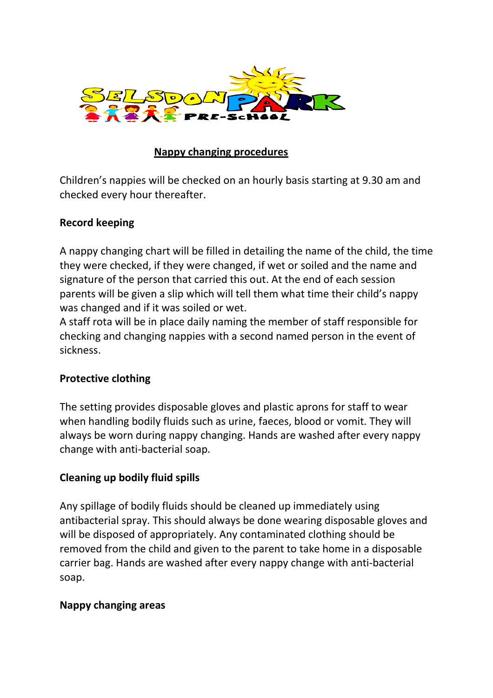

# **Nappy changing procedures**

Children's nappies will be checked on an hourly basis starting at 9.30 am and checked every hour thereafter.

## **Record keeping**

A nappy changing chart will be filled in detailing the name of the child, the time they were checked, if they were changed, if wet or soiled and the name and signature of the person that carried this out. At the end of each session parents will be given a slip which will tell them what time their child's nappy was changed and if it was soiled or wet.

A staff rota will be in place daily naming the member of staff responsible for checking and changing nappies with a second named person in the event of sickness.

# **Protective clothing**

The setting provides disposable gloves and plastic aprons for staff to wear when handling bodily fluids such as urine, faeces, blood or vomit. They will always be worn during nappy changing. Hands are washed after every nappy change with anti-bacterial soap.

# **Cleaning up bodily fluid spills**

Any spillage of bodily fluids should be cleaned up immediately using antibacterial spray. This should always be done wearing disposable gloves and will be disposed of appropriately. Any contaminated clothing should be removed from the child and given to the parent to take home in a disposable carrier bag. Hands are washed after every nappy change with anti-bacterial soap.

# **Nappy changing areas**